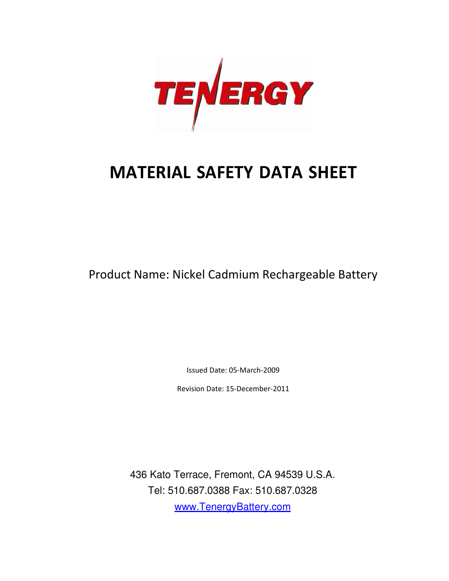

# MATERIAL SAFETY DATA SHEET

Product Name: Nickel Cadmium Rechargeable Battery

Issued Date: 05-March-2009

Revision Date: 15-December-2011

436 Kato Kato Terrace, Fremont, CA 94539 U.S.A. Tel: 510.687.0388 Fax: 510.687.0328 www.TenergyBattery.com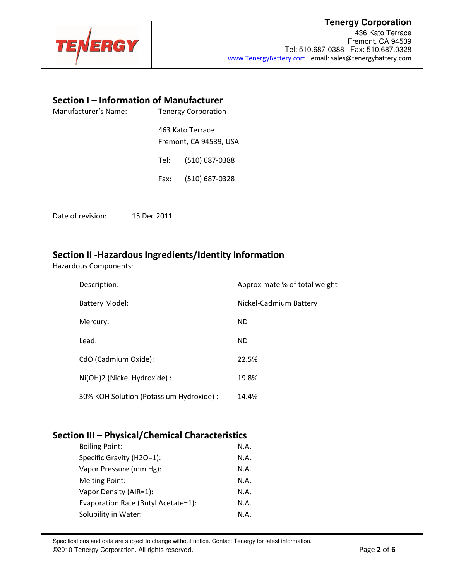

## **Tenergy Corporation**

436 Kato Terrace Fremont, CA 94539 Tel: 510.687-0388 Fax: 510.687.0328 www.TenergyBattery.com email: sales@tenergybattery.com

## Section I – Information of Manufacturer

| Manufacturer's Name: | <b>Tenergy Corporation</b> |                                            |
|----------------------|----------------------------|--------------------------------------------|
|                      |                            | 463 Kato Terrace<br>Fremont, CA 94539, USA |
|                      | Tel:                       | $(510)$ 687-0388                           |
|                      | Fax:                       | (510) 687-0328                             |
|                      |                            |                                            |

Date of revision: 15 Dec 2011

## Section II -Hazardous Ingredients/Identity Information

Hazardous Components:

| Description:                             | Approximate % of total weight |
|------------------------------------------|-------------------------------|
| <b>Battery Model:</b>                    | Nickel-Cadmium Battery        |
| Mercury:                                 | <b>ND</b>                     |
| Lead:                                    | ND.                           |
| CdO (Cadmium Oxide):                     | 22.5%                         |
| Ni(OH)2 (Nickel Hydroxide) :             | 19.8%                         |
| 30% KOH Solution (Potassium Hydroxide) : | 14.4%                         |

## Section III – Physical/Chemical Characteristics

| <b>Boiling Point:</b>               | N.A. |
|-------------------------------------|------|
| Specific Gravity (H2O=1):           | N.A. |
| Vapor Pressure (mm Hg):             | N.A. |
| <b>Melting Point:</b>               | N.A. |
| Vapor Density (AIR=1):              | N.A. |
| Evaporation Rate (Butyl Acetate=1): | N.A. |
| Solubility in Water:                | N.A. |

Specifications and data are subject to change without notice. Contact Tenergy for latest information. ©2010 Tenergy Corporation. All rights reserved. **Page 2 of 6** and  $\overline{P}$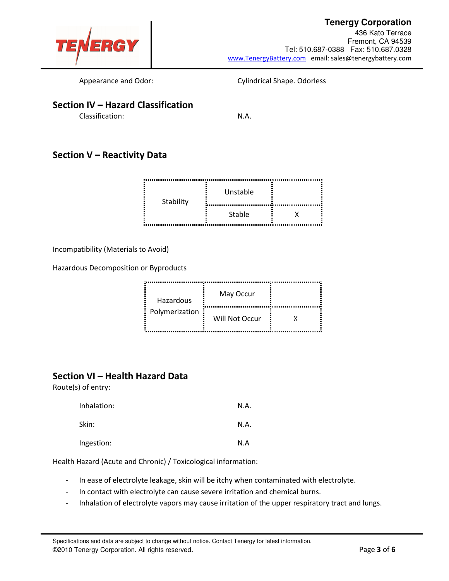## **Tenergy Corporation**



436 Kato Terrace Fremont, CA 94539 Tel: 510.687-0388 Fax: 510.687.0328 www.TenergyBattery.com email: sales@tenergybattery.com

Appearance and Odor: Cylindrical Shape. Odorless

## Section IV – Hazard Classification

Classification: N.A.

## Section V – Reactivity Data

| .<br>Stability | Unstable |  |  |
|----------------|----------|--|--|
|                | Stable   |  |  |

Incompatibility (Materials to Avoid)

Hazardous Decomposition or Byproducts

| Hazardous      | May Occur      |  |
|----------------|----------------|--|
| Polymerization | Will Not Occur |  |

## Section VI – Health Hazard Data

Route(s) of entry:

| Inhalation: | N.A. |
|-------------|------|
| Skin:       | N.A. |
| Ingestion:  | N.A  |

Health Hazard (Acute and Chronic) / Toxicological information:

- In ease of electrolyte leakage, skin will be itchy when contaminated with electrolyte.
- In contact with electrolyte can cause severe irritation and chemical burns.
- Inhalation of electrolyte vapors may cause irritation of the upper respiratory tract and lungs.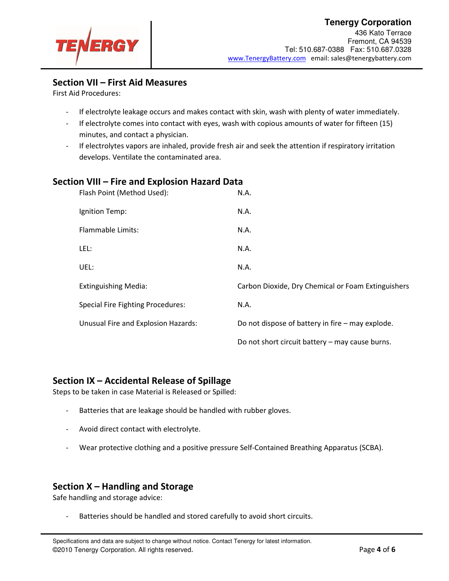

436 Kato Terrace Fremont, CA 94539 Tel: 510.687-0388 Fax: 510.687.0328 www.TenergyBattery.com email: sales@tenergybattery.com

## Section VII – First Aid Measures

First Aid Procedures:

- If electrolyte leakage occurs and makes contact with skin, wash with plenty of water immediately.
- If electrolyte comes into contact with eyes, wash with copious amounts of water for fifteen (15) minutes, and contact a physician.
- If electrolytes vapors are inhaled, provide fresh air and seek the attention if respiratory irritation develops. Ventilate the contaminated area.

#### Section VIII – Fire and Explosion Hazard Data

| Flash Point (Method Used):               | N.A.                                               |
|------------------------------------------|----------------------------------------------------|
| Ignition Temp:                           | N.A.                                               |
| <b>Flammable Limits:</b>                 | N.A.                                               |
| LEL:                                     | N.A.                                               |
| UEL:                                     | N.A.                                               |
| <b>Extinguishing Media:</b>              | Carbon Dioxide, Dry Chemical or Foam Extinguishers |
| <b>Special Fire Fighting Procedures:</b> | N.A.                                               |
| Unusual Fire and Explosion Hazards:      | Do not dispose of battery in fire - may explode.   |
|                                          | Do not short circuit battery - may cause burns.    |

#### Section IX – Accidental Release of Spillage

Steps to be taken in case Material is Released or Spilled:

- Batteries that are leakage should be handled with rubber gloves.
- Avoid direct contact with electrolyte.
- Wear protective clothing and a positive pressure Self-Contained Breathing Apparatus (SCBA).

#### Section X – Handling and Storage

Safe handling and storage advice:

Batteries should be handled and stored carefully to avoid short circuits.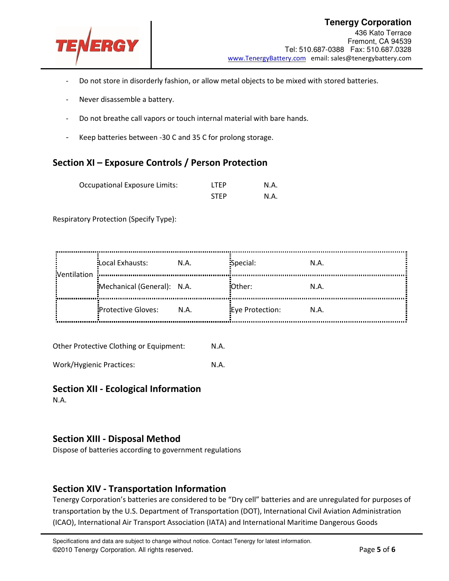

- Do not store in disorderly fashion, or allow metal objects to be mixed with stored batteries.
- Never disassemble a battery.
- Do not breathe call vapors or touch internal material with bare hands.
- Keep batteries between -30 C and 35 C for prolong storage.

## Section XI – Exposure Controls / Person Protection

| <b>Occupational Exposure Limits:</b> | <b>ITFP</b> | N.A. |
|--------------------------------------|-------------|------|
|                                      | <b>STFP</b> | N.A. |

Respiratory Protection (Specify Type):

| Ventilation | Local Exhausts:            | N.A. | Special:        | N.A. |
|-------------|----------------------------|------|-----------------|------|
|             | Mechanical (General): N.A. |      | :Other:         | N.A. |
|             | Protective Gloves:         | N.A. | Eye Protection: | N.A. |

Other Protective Clothing or Equipment: N.A.

Work/Hygienic Practices: N.A.

#### Section XII - Ecological Information

N.A.

#### Section XIII - Disposal Method

Dispose of batteries according to government regulations

## Section XIV - Transportation Information

Tenergy Corporation's batteries are considered to be "Dry cell" batteries and are unregulated for purposes of transportation by the U.S. Department of Transportation (DOT), International Civil Aviation Administration (ICAO), International Air Transport Association (IATA) and International Maritime Dangerous Goods